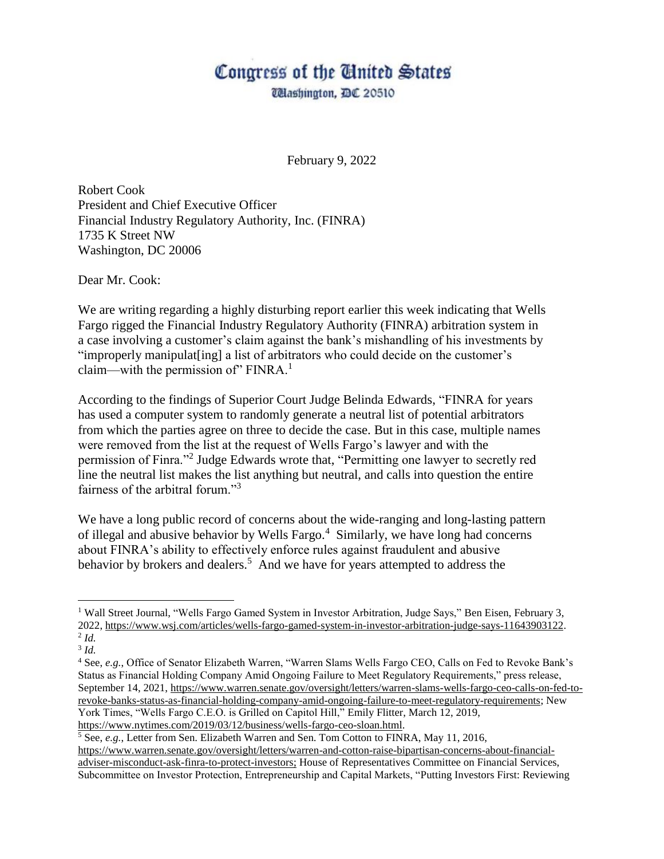## Congress of the Cinited States

*Udashington, DC 20510* 

February 9, 2022

Robert Cook President and Chief Executive Officer Financial Industry Regulatory Authority, Inc. (FINRA) 1735 K Street NW Washington, DC 20006

Dear Mr. Cook:

We are writing regarding a highly disturbing report earlier this week indicating that Wells Fargo rigged the Financial Industry Regulatory Authority (FINRA) arbitration system in a case involving a customer's claim against the bank's mishandling of his investments by "improperly manipulat[ing] a list of arbitrators who could decide on the customer's claim—with the permission of" FINRA. $<sup>1</sup>$ </sup>

According to the findings of Superior Court Judge Belinda Edwards, "FINRA for years has used a computer system to randomly generate a neutral list of potential arbitrators from which the parties agree on three to decide the case. But in this case, multiple names were removed from the list at the request of Wells Fargo's lawyer and with the permission of Finra."<sup>2</sup> Judge Edwards wrote that, "Permitting one lawyer to secretly red line the neutral list makes the list anything but neutral, and calls into question the entire fairness of the arbitral forum."<sup>3</sup>

We have a long public record of concerns about the wide-ranging and long-lasting pattern of illegal and abusive behavior by Wells Fargo.<sup>4</sup> Similarly, we have long had concerns about FINRA's ability to effectively enforce rules against fraudulent and abusive behavior by brokers and dealers.<sup>5</sup> And we have for years attempted to address the

 $\overline{a}$ 

<sup>1</sup> Wall Street Journal, "Wells Fargo Gamed System in Investor Arbitration, Judge Says," Ben Eisen, February 3, 2022, [https://www.wsj.com/articles/wells-fargo-gamed-system-in-investor-arbitration-judge-says-11643903122.](https://www.wsj.com/articles/wells-fargo-gamed-system-in-investor-arbitration-judge-says-11643903122) 2 *Id.*

<sup>3</sup> *Id.*

<sup>4</sup> See, *e.g.*, Office of Senator Elizabeth Warren, "Warren Slams Wells Fargo CEO, Calls on Fed to Revoke Bank's Status as Financial Holding Company Amid Ongoing Failure to Meet Regulatory Requirements," press release, September 14, 2021, [https://www.warren.senate.gov/oversight/letters/warren-slams-wells-fargo-ceo-calls-on-fed-to](https://www.warren.senate.gov/oversight/letters/warren-slams-wells-fargo-ceo-calls-on-fed-to-revoke-banks-status-as-financial-holding-company-amid-ongoing-failure-to-meet-regulatory-requirements)[revoke-banks-status-as-financial-holding-company-amid-ongoing-failure-to-meet-regulatory-requirements;](https://www.warren.senate.gov/oversight/letters/warren-slams-wells-fargo-ceo-calls-on-fed-to-revoke-banks-status-as-financial-holding-company-amid-ongoing-failure-to-meet-regulatory-requirements) New York Times, "Wells Fargo C.E.O. is Grilled on Capitol Hill," Emily Flitter, March 12, 2019, [https://www.nytimes.com/2019/03/12/business/wells-fargo-ceo-sloan.html.](https://www.nytimes.com/2019/03/12/business/wells-fargo-ceo-sloan.html)

<sup>5</sup> See, *e.g.*, Letter from Sen. Elizabeth Warren and Sen. Tom Cotton to FINRA, May 11, 2016,

[https://www.warren.senate.gov/oversight/letters/warren-and-cotton-raise-bipartisan-concerns-about-financial](https://www.warren.senate.gov/oversight/letters/warren-and-cotton-raise-bipartisan-concerns-about-financial-adviser-misconduct-ask-finra-to-protect-investors)[adviser-misconduct-ask-finra-to-protect-investors;](https://www.warren.senate.gov/oversight/letters/warren-and-cotton-raise-bipartisan-concerns-about-financial-adviser-misconduct-ask-finra-to-protect-investors) House of Representatives Committee on Financial Services, Subcommittee on Investor Protection, Entrepreneurship and Capital Markets, "Putting Investors First: Reviewing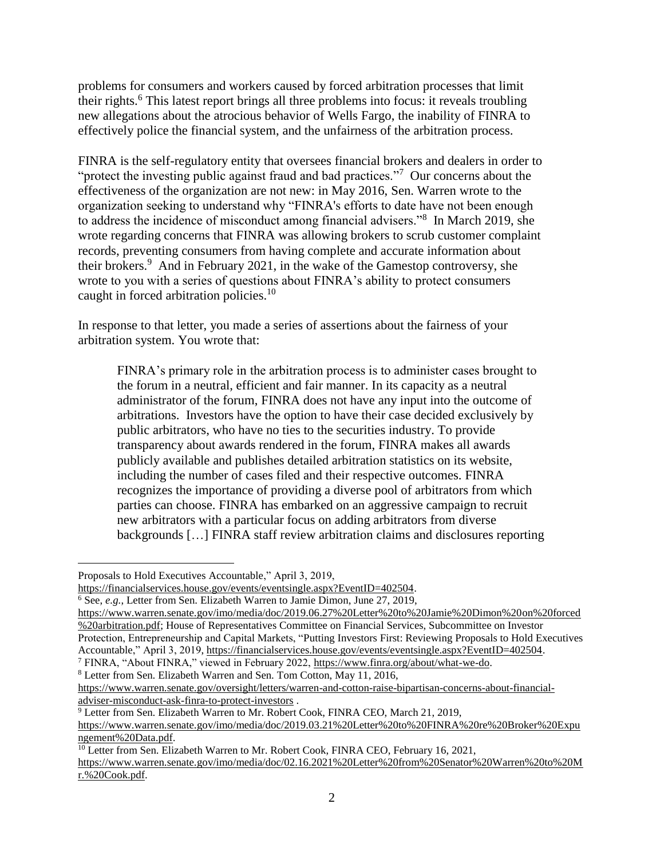problems for consumers and workers caused by forced arbitration processes that limit their rights.<sup>6</sup> This latest report brings all three problems into focus: it reveals troubling new allegations about the atrocious behavior of Wells Fargo, the inability of FINRA to effectively police the financial system, and the unfairness of the arbitration process.

FINRA is the self-regulatory entity that oversees financial brokers and dealers in order to "protect the investing public against fraud and bad practices."<sup>7</sup> Our concerns about the effectiveness of the organization are not new: in May 2016, Sen. Warren wrote to the organization seeking to understand why "FINRA's efforts to date have not been enough to address the incidence of misconduct among financial advisers."<sup>8</sup> In March 2019, she wrote regarding concerns that FINRA was allowing brokers to scrub customer complaint records, preventing consumers from having complete and accurate information about their brokers.<sup>9</sup> And in February 2021, in the wake of the Gamestop controversy, she wrote to you with a series of questions about FINRA's ability to protect consumers caught in forced arbitration policies.<sup>10</sup>

In response to that letter, you made a series of assertions about the fairness of your arbitration system. You wrote that:

FINRA's primary role in the arbitration process is to administer cases brought to the forum in a neutral, efficient and fair manner. In its capacity as a neutral administrator of the forum, FINRA does not have any input into the outcome of arbitrations. Investors have the option to have their case decided exclusively by public arbitrators, who have no ties to the securities industry. To provide transparency about awards rendered in the forum, FINRA makes all awards publicly available and publishes detailed arbitration statistics on its website, including the number of cases filed and their respective outcomes. FINRA recognizes the importance of providing a diverse pool of arbitrators from which parties can choose. FINRA has embarked on an aggressive campaign to recruit new arbitrators with a particular focus on adding arbitrators from diverse backgrounds […] FINRA staff review arbitration claims and disclosures reporting

l

Proposals to Hold Executives Accountable," April 3, 2019,

[https://financialservices.house.gov/events/eventsingle.aspx?EventID=402504.](https://financialservices.house.gov/events/eventsingle.aspx?EventID=402504)

<sup>6</sup> See, *e.g.*, Letter from Sen. Elizabeth Warren to Jamie Dimon, June 27, 2019,

[https://www.warren.senate.gov/imo/media/doc/2019.06.27%20Letter%20to%20Jamie%20Dimon%20on%20forced](https://www.warren.senate.gov/imo/media/doc/2019.06.27%20Letter%20to%20Jamie%20Dimon%20on%20forced%20arbitration.pdf) [%20arbitration.pdf;](https://www.warren.senate.gov/imo/media/doc/2019.06.27%20Letter%20to%20Jamie%20Dimon%20on%20forced%20arbitration.pdf) House of Representatives Committee on Financial Services, Subcommittee on Investor Protection, Entrepreneurship and Capital Markets, "Putting Investors First: Reviewing Proposals to Hold Executives Accountable," April 3, 2019[, https://financialservices.house.gov/events/eventsingle.aspx?EventID=402504.](https://financialservices.house.gov/events/eventsingle.aspx?EventID=402504)

<sup>7</sup> FINRA, "About FINRA," viewed in February 2022, [https://www.finra.org/about/what-we-do.](https://www.finra.org/about/what-we-do)

<sup>8</sup> Letter from Sen. Elizabeth Warren and Sen. Tom Cotton, May 11, 2016,

[https://www.warren.senate.gov/oversight/letters/warren-and-cotton-raise-bipartisan-concerns-about-financial](https://www.warren.senate.gov/oversight/letters/warren-and-cotton-raise-bipartisan-concerns-about-financial-adviser-misconduct-ask-finra-to-protect-investors)[adviser-misconduct-ask-finra-to-protect-investors](https://www.warren.senate.gov/oversight/letters/warren-and-cotton-raise-bipartisan-concerns-about-financial-adviser-misconduct-ask-finra-to-protect-investors) .

<sup>&</sup>lt;sup>9</sup> Letter from Sen. Elizabeth Warren to Mr. Robert Cook, FINRA CEO, March 21, 2019, [https://www.warren.senate.gov/imo/media/doc/2019.03.21%20Letter%20to%20FINRA%20re%20Broker%20Expu](https://www.warren.senate.gov/imo/media/doc/2019.03.21%20Letter%20to%20FINRA%20re%20Broker%20Expungement%20Data.pdf) [ngement%20Data.pdf.](https://www.warren.senate.gov/imo/media/doc/2019.03.21%20Letter%20to%20FINRA%20re%20Broker%20Expungement%20Data.pdf) 

<sup>&</sup>lt;sup>10</sup> Letter from Sen. Elizabeth Warren to Mr. Robert Cook, FINRA CEO, February 16, 2021, [https://www.warren.senate.gov/imo/media/doc/02.16.2021%20Letter%20from%20Senator%20Warren%20to%20M](https://www.warren.senate.gov/imo/media/doc/02.16.2021%20Letter%20from%20Senator%20Warren%20to%20Mr.%20Cook.pdf) [r.%20Cook.pdf.](https://www.warren.senate.gov/imo/media/doc/02.16.2021%20Letter%20from%20Senator%20Warren%20to%20Mr.%20Cook.pdf)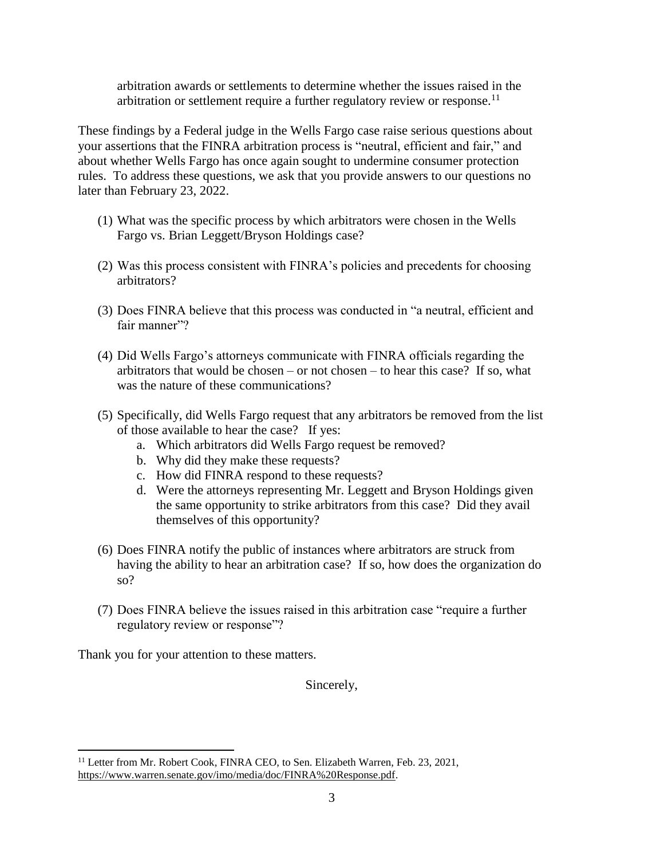arbitration awards or settlements to determine whether the issues raised in the arbitration or settlement require a further regulatory review or response.<sup>11</sup>

These findings by a Federal judge in the Wells Fargo case raise serious questions about your assertions that the FINRA arbitration process is "neutral, efficient and fair," and about whether Wells Fargo has once again sought to undermine consumer protection rules. To address these questions, we ask that you provide answers to our questions no later than February 23, 2022.

- (1) What was the specific process by which arbitrators were chosen in the Wells Fargo vs. Brian Leggett/Bryson Holdings case?
- (2) Was this process consistent with FINRA's policies and precedents for choosing arbitrators?
- (3) Does FINRA believe that this process was conducted in "a neutral, efficient and fair manner"?
- (4) Did Wells Fargo's attorneys communicate with FINRA officials regarding the arbitrators that would be chosen – or not chosen – to hear this case? If so, what was the nature of these communications?
- (5) Specifically, did Wells Fargo request that any arbitrators be removed from the list of those available to hear the case? If yes:
	- a. Which arbitrators did Wells Fargo request be removed?
	- b. Why did they make these requests?
	- c. How did FINRA respond to these requests?
	- d. Were the attorneys representing Mr. Leggett and Bryson Holdings given the same opportunity to strike arbitrators from this case? Did they avail themselves of this opportunity?
- (6) Does FINRA notify the public of instances where arbitrators are struck from having the ability to hear an arbitration case? If so, how does the organization do so?
- (7) Does FINRA believe the issues raised in this arbitration case "require a further regulatory review or response"?

Thank you for your attention to these matters.

 $\overline{a}$ 

Sincerely,

<sup>&</sup>lt;sup>11</sup> Letter from Mr. Robert Cook, FINRA CEO, to Sen. Elizabeth Warren, Feb. 23, 2021, [https://www.warren.senate.gov/imo/media/doc/FINRA%20Response.pdf.](https://www.warren.senate.gov/imo/media/doc/FINRA%20Response.pdf)